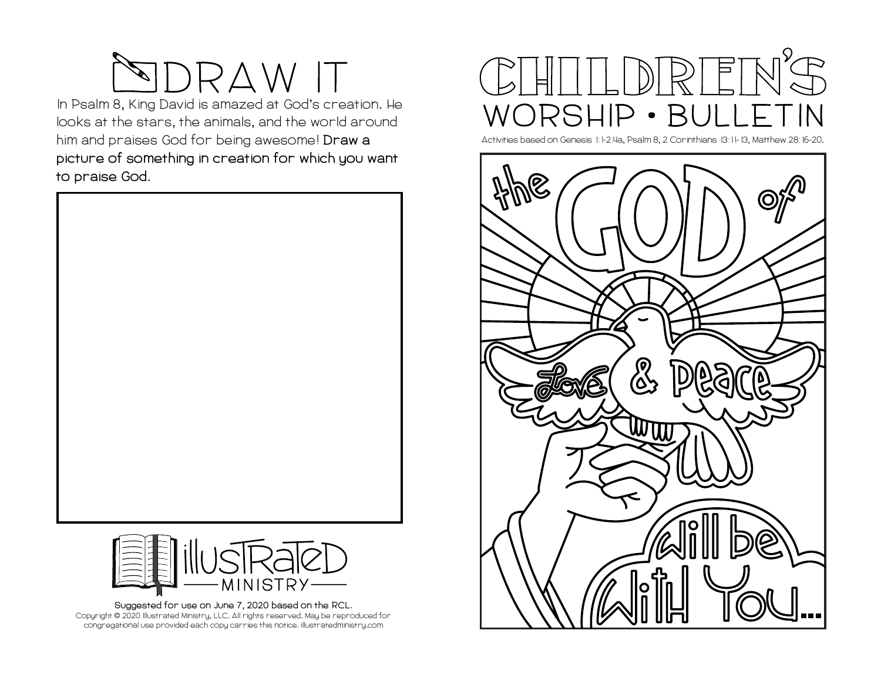

**In Psalm 8, King David is amazed at God's creation. He looks at the stars, the animals, and the world around him and praises God for being awesome! Draw a picture of something in creation for which you want to praise God.** 





**Suggested for use on June 7, 2020 based on the RCL. Copyright © 2020 Illustrated Ministry, LLC. All rights reserved. May be reproduced for congregational use provided each copy carries this notice. illustratedministry.com**



**Activities based on Genesis 1:1-2:4a, Psalm 8, 2 Corinthians 13:11-13, Matthew 28:16-20.**